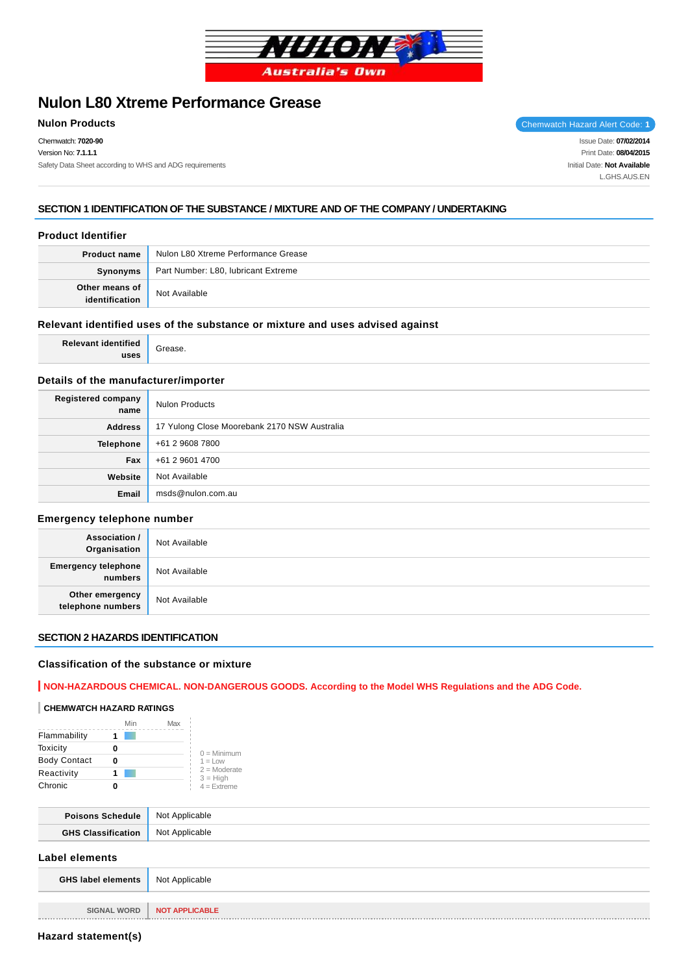

# **Nulon L80 Xtreme Performance Grease**

Chemwatch: **7020-90** Version No: **7.1.1.1** Safety Data Sheet according to WHS and ADG requirements

**Nulon Products** Chemwatch Hazard Alert Code: 1

Issue Date: **07/02/2014** Print Date: **08/04/2015** Initial Date: **Not Available** L.GHS.AUS.EN

# **SECTION 1 IDENTIFICATION OF THE SUBSTANCE / MIXTURE AND OF THE COMPANY / UNDERTAKING**

| <b>Product Identifier</b>        |                                     |  |
|----------------------------------|-------------------------------------|--|
| <b>Product name</b>              | Nulon L80 Xtreme Performance Grease |  |
| Synonyms                         | Part Number: L80, lubricant Extreme |  |
| Other means of<br>identification | Not Available                       |  |

### **Relevant identified uses of the substance or mixture and uses advised against**

**Relevant identified uses**

Grease.

# **Details of the manufacturer/importer**

| Registered company<br>name | <b>Nulon Products</b>                        |
|----------------------------|----------------------------------------------|
| <b>Address</b>             | 17 Yulong Close Moorebank 2170 NSW Australia |
| <b>Telephone</b>           | +61 2 9608 7800                              |
| Fax                        | +61 2 9601 4700                              |
| Website                    | Not Available                                |
| Email                      | msds@nulon.com.au                            |

### **Emergency telephone number**

| <b>Association /</b><br>Organisation  | Not Available |
|---------------------------------------|---------------|
| <b>Emergency telephone</b><br>numbers | Not Available |
| Other emergency<br>telephone numbers  | Not Available |

## **SECTION 2 HAZARDS IDENTIFICATION**

### **Classification of the substance or mixture**

# **NON-HAZARDOUS CHEMICAL. NON-DANGEROUS GOODS. According to the Model WHS Regulations and the ADG Code.**

### **CHEMWATCH HAZARD RATINGS**

|                     | Min | Max |                              |
|---------------------|-----|-----|------------------------------|
| Flammability        |     |     |                              |
| Toxicity            |     |     | $0 =$ Minimum                |
| <b>Body Contact</b> | Ω   |     | $1 = 1$ OW                   |
| Reactivity          |     |     | $2 =$ Moderate<br>$3 = High$ |
| Chronic             |     |     | $4 =$ Extreme                |

| Poison.<br>.edule | Not Applicable |
|-------------------|----------------|
| GUS A             | Not Applicable |

### **Label elements**

| <b>GHS label elements</b> Not Applicable |                              |
|------------------------------------------|------------------------------|
|                                          |                              |
|                                          | SIGNAL WORD   NOT APPLICABLE |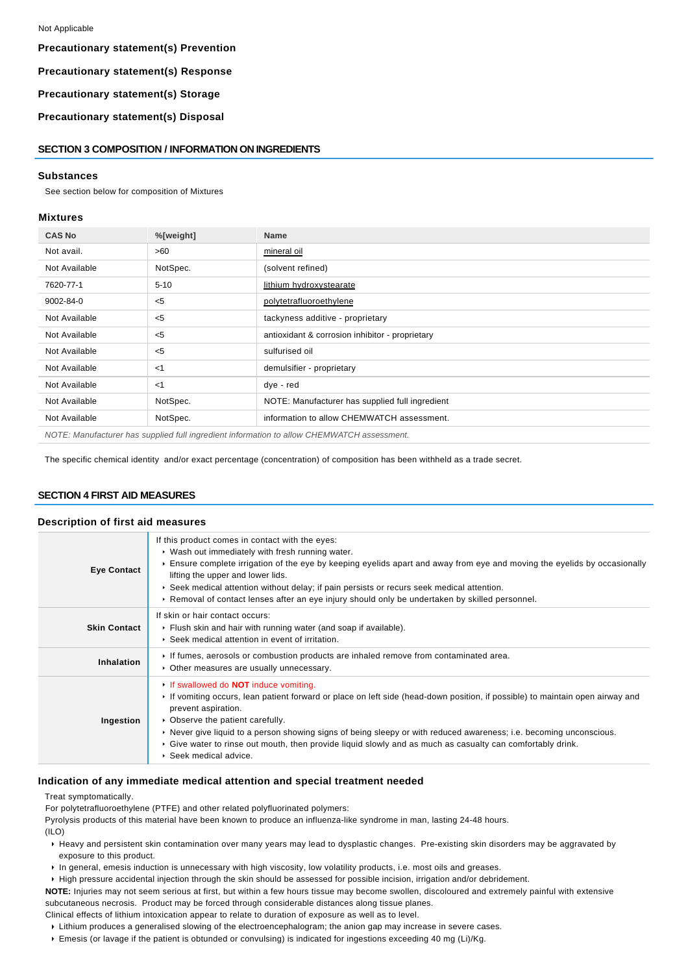**Precautionary statement(s) Prevention**

**Precautionary statement(s) Response**

**Precautionary statement(s) Storage**

**Precautionary statement(s) Disposal**

### **SECTION 3 COMPOSITION / INFORMATION ON INGREDIENTS**

#### **Substances**

See section below for composition of Mixtures

#### **Mixtures**

| <b>CAS No</b> | %[weight] | <b>Name</b>                                                                                |
|---------------|-----------|--------------------------------------------------------------------------------------------|
| Not avail.    | >60       | mineral oil                                                                                |
| Not Available | NotSpec.  | (solvent refined)                                                                          |
| 7620-77-1     | $5 - 10$  | lithium hydroxystearate                                                                    |
| 9002-84-0     | $<$ 5     | polytetrafluoroethylene                                                                    |
| Not Available | $<$ 5     | tackyness additive - proprietary                                                           |
| Not Available | < 5       | antioxidant & corrosion inhibitor - proprietary                                            |
| Not Available | $<$ 5     | sulfurised oil                                                                             |
| Not Available | $<$ 1     | demulsifier - proprietary                                                                  |
| Not Available | $<$ 1     | dye - red                                                                                  |
| Not Available | NotSpec.  | NOTE: Manufacturer has supplied full ingredient                                            |
| Not Available | NotSpec.  | information to allow CHEMWATCH assessment.                                                 |
|               |           | NOTE: Manufacturer has supplied full ingredient information to allow CHEMWATCH assessment. |

The specific chemical identity and/or exact percentage (concentration) of composition has been withheld as a trade secret.

### **SECTION 4 FIRST AID MEASURES**

#### **Description of first aid measures**

| <b>Eye Contact</b>  | If this product comes in contact with the eyes:<br>▶ Wash out immediately with fresh running water.<br>Ensure complete irrigation of the eye by keeping eyelids apart and away from eye and moving the eyelids by occasionally<br>lifting the upper and lower lids.<br>▶ Seek medical attention without delay; if pain persists or recurs seek medical attention.<br>► Removal of contact lenses after an eye injury should only be undertaken by skilled personnel.                                  |
|---------------------|-------------------------------------------------------------------------------------------------------------------------------------------------------------------------------------------------------------------------------------------------------------------------------------------------------------------------------------------------------------------------------------------------------------------------------------------------------------------------------------------------------|
| <b>Skin Contact</b> | If skin or hair contact occurs:<br>• Flush skin and hair with running water (and soap if available).<br>▶ Seek medical attention in event of irritation.                                                                                                                                                                                                                                                                                                                                              |
| <b>Inhalation</b>   | If fumes, aerosols or combustion products are inhaled remove from contaminated area.<br>• Other measures are usually unnecessary.                                                                                                                                                                                                                                                                                                                                                                     |
| Ingestion           | If swallowed do <b>NOT</b> induce vomiting.<br>If vomiting occurs, lean patient forward or place on left side (head-down position, if possible) to maintain open airway and<br>prevent aspiration.<br>• Observe the patient carefully.<br>► Never give liquid to a person showing signs of being sleepy or with reduced awareness; i.e. becoming unconscious.<br>► Give water to rinse out mouth, then provide liquid slowly and as much as casualty can comfortably drink.<br>▶ Seek medical advice. |

### **Indication of any immediate medical attention and special treatment needed**

Treat symptomatically.

For polytetrafluoroethylene (PTFE) and other related polyfluorinated polymers:

Pyrolysis products of this material have been known to produce an influenza-like syndrome in man, lasting 24-48 hours.

(ILO)

- Heavy and persistent skin contamination over many years may lead to dysplastic changes. Pre-existing skin disorders may be aggravated by exposure to this product.
- In general, emesis induction is unnecessary with high viscosity, low volatility products, i.e. most oils and greases.
- High pressure accidental injection through the skin should be assessed for possible incision, irrigation and/or debridement.
- **NOTE:** Injuries may not seem serious at first, but within a few hours tissue may become swollen, discoloured and extremely painful with extensive subcutaneous necrosis. Product may be forced through considerable distances along tissue planes.

Clinical effects of lithium intoxication appear to relate to duration of exposure as well as to level.

- Lithium produces a generalised slowing of the electroencephalogram; the anion gap may increase in severe cases.
- Emesis (or lavage if the patient is obtunded or convulsing) is indicated for ingestions exceeding 40 mg (Li)/Kg.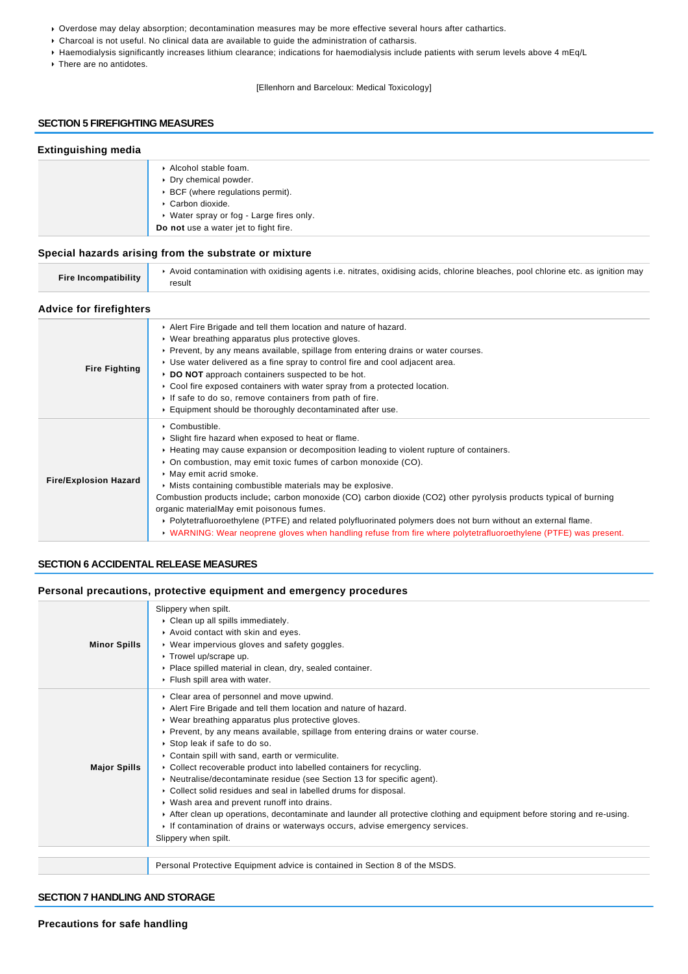- Overdose may delay absorption; decontamination measures may be more effective several hours after cathartics.
- Charcoal is not useful. No clinical data are available to guide the administration of catharsis.
- Haemodialysis significantly increases lithium clearance; indications for haemodialysis include patients with serum levels above 4 mEq/L
- There are no antidotes.

### [Ellenhorn and Barceloux: Medical Toxicology]

### **SECTION 5 FIREFIGHTING MEASURES**

| <b>Extinguishing media</b> |                                          |
|----------------------------|------------------------------------------|
|                            | Alcohol stable foam.                     |
|                            | ▶ Dry chemical powder.                   |
|                            | ▶ BCF (where regulations permit).        |
|                            | Carbon dioxide.                          |
|                            | ▶ Water spray or fog - Large fires only. |
|                            | Do not use a water jet to fight fire.    |
|                            |                                          |

# **Special hazards arising from the substrate or mixture**

| Opecial Hazards arising from the substrate of inixture |                                                                                                                                                                                                                                                                                                                                                                                                                                                                                                                                                                                                                                                                                                                                                  |  |  |
|--------------------------------------------------------|--------------------------------------------------------------------------------------------------------------------------------------------------------------------------------------------------------------------------------------------------------------------------------------------------------------------------------------------------------------------------------------------------------------------------------------------------------------------------------------------------------------------------------------------------------------------------------------------------------------------------------------------------------------------------------------------------------------------------------------------------|--|--|
| <b>Fire Incompatibility</b>                            | Avoid contamination with oxidising agents i.e. nitrates, oxidising acids, chlorine bleaches, pool chlorine etc. as ignition may<br>result                                                                                                                                                                                                                                                                                                                                                                                                                                                                                                                                                                                                        |  |  |
| <b>Advice for firefighters</b>                         |                                                                                                                                                                                                                                                                                                                                                                                                                                                                                                                                                                                                                                                                                                                                                  |  |  |
| <b>Fire Fighting</b>                                   | Alert Fire Brigade and tell them location and nature of hazard.<br>• Wear breathing apparatus plus protective gloves.<br>▶ Prevent, by any means available, spillage from entering drains or water courses.<br>► Use water delivered as a fine spray to control fire and cool adjacent area.<br>DO NOT approach containers suspected to be hot.<br>► Cool fire exposed containers with water spray from a protected location.<br>If safe to do so, remove containers from path of fire.<br>Equipment should be thoroughly decontaminated after use.                                                                                                                                                                                              |  |  |
| <b>Fire/Explosion Hazard</b>                           | $\triangleright$ Combustible.<br>• Slight fire hazard when exposed to heat or flame.<br>► Heating may cause expansion or decomposition leading to violent rupture of containers.<br>• On combustion, may emit toxic fumes of carbon monoxide (CO).<br>May emit acrid smoke.<br>Mists containing combustible materials may be explosive.<br>Combustion products include; carbon monoxide (CO) carbon dioxide (CO2) other pyrolysis products typical of burning<br>organic materialMay emit poisonous fumes.<br>▶ Polytetrafluoroethylene (PTFE) and related polyfluorinated polymers does not burn without an external flame.<br>• WARNING: Wear neoprene gloves when handling refuse from fire where polytetrafluoroethylene (PTFE) was present. |  |  |

### **SECTION 6 ACCIDENTAL RELEASE MEASURES**

# **Personal precautions, protective equipment and emergency procedures**

| <b>Minor Spills</b> | Slippery when spilt.<br>Clean up all spills immediately.<br>Avoid contact with skin and eyes.<br>• Wear impervious gloves and safety goggles.<br>▶ Trowel up/scrape up.<br>• Place spilled material in clean, dry, sealed container.<br>Flush spill area with water.                                                                                                                                                                                                                                                                                                                                                                                                                                                                                                                                                                             |
|---------------------|--------------------------------------------------------------------------------------------------------------------------------------------------------------------------------------------------------------------------------------------------------------------------------------------------------------------------------------------------------------------------------------------------------------------------------------------------------------------------------------------------------------------------------------------------------------------------------------------------------------------------------------------------------------------------------------------------------------------------------------------------------------------------------------------------------------------------------------------------|
| <b>Major Spills</b> | Clear area of personnel and move upwind.<br>Alert Fire Brigade and tell them location and nature of hazard.<br>• Wear breathing apparatus plus protective gloves.<br>► Prevent, by any means available, spillage from entering drains or water course.<br>Stop leak if safe to do so.<br>• Contain spill with sand, earth or vermiculite.<br>• Collect recoverable product into labelled containers for recycling.<br>• Neutralise/decontaminate residue (see Section 13 for specific agent).<br>Collect solid residues and seal in labelled drums for disposal.<br>▶ Wash area and prevent runoff into drains.<br>After clean up operations, decontaminate and launder all protective clothing and equipment before storing and re-using.<br>If contamination of drains or waterways occurs, advise emergency services.<br>Slippery when spilt. |
|                     | Personal Protective Equipment advice is contained in Section 8 of the MSDS.                                                                                                                                                                                                                                                                                                                                                                                                                                                                                                                                                                                                                                                                                                                                                                      |

### **SECTION 7 HANDLING AND STORAGE**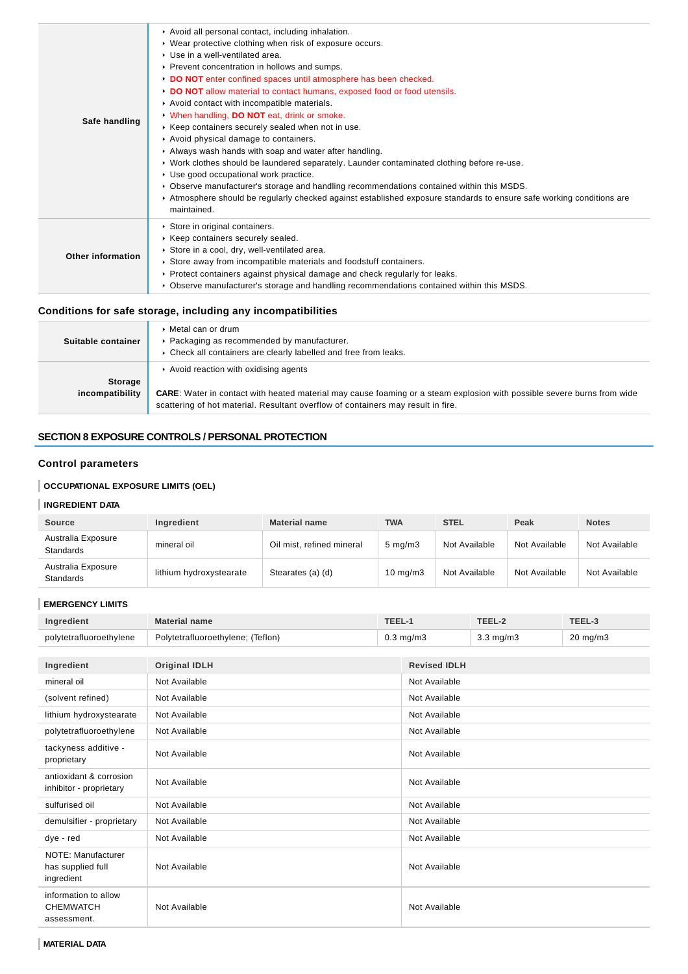| Safe handling     | Avoid all personal contact, including inhalation.<br>• Wear protective clothing when risk of exposure occurs.<br>▶ Use in a well-ventilated area.<br>▶ Prevent concentration in hollows and sumps.<br>DO NOT enter confined spaces until atmosphere has been checked.<br>DO NOT allow material to contact humans, exposed food or food utensils.<br>Avoid contact with incompatible materials.<br>V When handling, DO NOT eat, drink or smoke.<br>▶ Keep containers securely sealed when not in use.<br>Avoid physical damage to containers.<br>Always wash hands with soap and water after handling.<br>▶ Work clothes should be laundered separately. Launder contaminated clothing before re-use.<br>Use good occupational work practice.<br>► Observe manufacturer's storage and handling recommendations contained within this MSDS.<br>▶ Atmosphere should be regularly checked against established exposure standards to ensure safe working conditions are<br>maintained. |  |
|-------------------|-----------------------------------------------------------------------------------------------------------------------------------------------------------------------------------------------------------------------------------------------------------------------------------------------------------------------------------------------------------------------------------------------------------------------------------------------------------------------------------------------------------------------------------------------------------------------------------------------------------------------------------------------------------------------------------------------------------------------------------------------------------------------------------------------------------------------------------------------------------------------------------------------------------------------------------------------------------------------------------|--|
| Other information | Store in original containers.<br>▶ Keep containers securely sealed.<br>Store in a cool, dry, well-ventilated area.<br>► Store away from incompatible materials and foodstuff containers.<br>▶ Protect containers against physical damage and check regularly for leaks.<br>▶ Observe manufacturer's storage and handling recommendations contained within this MSDS.                                                                                                                                                                                                                                                                                                                                                                                                                                                                                                                                                                                                              |  |

# **Conditions for safe storage, including any incompatibilities**

| Suitable container | Metal can or drum<br>▶ Packaging as recommended by manufacturer.<br>Check all containers are clearly labelled and free from leaks.                                                                                 |
|--------------------|--------------------------------------------------------------------------------------------------------------------------------------------------------------------------------------------------------------------|
|                    | Avoid reaction with oxidising agents                                                                                                                                                                               |
| Storage            |                                                                                                                                                                                                                    |
| incompatibility    | <b>CARE:</b> Water in contact with heated material may cause foaming or a steam explosion with possible severe burns from wide<br>scattering of hot material. Resultant overflow of containers may result in fire. |

# **SECTION 8 EXPOSURE CONTROLS / PERSONAL PROTECTION**

# **Control parameters**

# **OCCUPATIONAL EXPOSURE LIMITS (OEL)**

# **INGREDIENT DATA**

| <b>Source</b>                          | Ingredient              | <b>Material name</b>      | TWA               | <b>STEL</b>   | Peak          | <b>Notes</b>  |
|----------------------------------------|-------------------------|---------------------------|-------------------|---------------|---------------|---------------|
| Australia Exposure<br><b>Standards</b> | mineral oil             | Oil mist, refined mineral | $5 \text{ mg/m}$  | Not Available | Not Available | Not Available |
| Australia Exposure<br><b>Standards</b> | lithium hydroxystearate | Stearates (a) (d)         | $10 \text{ mg/m}$ | Not Available | Not Available | Not Available |

# **EMERGENCY LIMITS**

| <b>EMERGENCY LIMITS</b>                            |                                   |        |                     |                    |                     |
|----------------------------------------------------|-----------------------------------|--------|---------------------|--------------------|---------------------|
| Ingredient                                         | <b>Material name</b>              | TEEL-1 |                     | TEEL-2             | TEEL-3              |
| polytetrafluoroethylene                            | Polytetrafluoroethylene; (Teflon) |        | $0.3$ mg/m $3$      | $3.3 \text{ mg/m}$ | $20 \text{ mg/m}$ 3 |
|                                                    |                                   |        |                     |                    |                     |
| Ingredient                                         | <b>Original IDLH</b>              |        | <b>Revised IDLH</b> |                    |                     |
| mineral oil                                        | Not Available                     |        | Not Available       |                    |                     |
| (solvent refined)                                  | Not Available                     |        | Not Available       |                    |                     |
| lithium hydroxystearate                            | Not Available                     |        | Not Available       |                    |                     |
| polytetrafluoroethylene                            | Not Available                     |        | Not Available       |                    |                     |
| tackyness additive -<br>proprietary                | Not Available                     |        | Not Available       |                    |                     |
| antioxidant & corrosion<br>inhibitor - proprietary | Not Available                     |        | Not Available       |                    |                     |
| sulfurised oil                                     | Not Available                     |        | Not Available       |                    |                     |
| demulsifier - proprietary                          | Not Available                     |        | Not Available       |                    |                     |
| dye - red                                          | Not Available                     |        | Not Available       |                    |                     |

Not Available Not Available

Not Available Not Available

NOTE: Manufacturer has supplied full ingredient

information to allow CHEMWATCH assessment.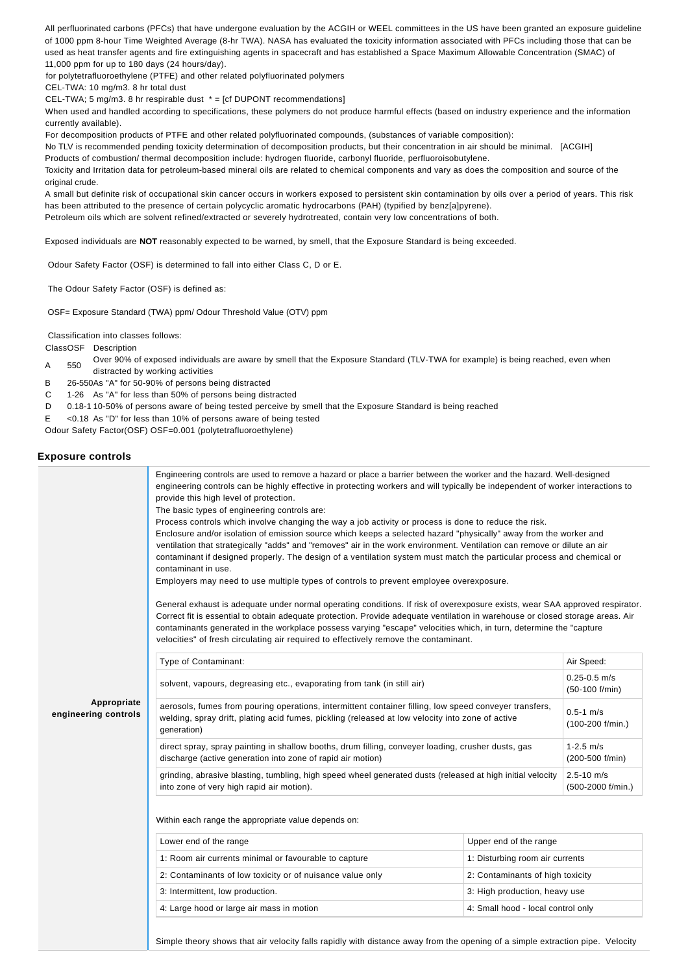All perfluorinated carbons (PFCs) that have undergone evaluation by the ACGIH or WEEL committees in the US have been granted an exposure guideline of 1000 ppm 8-hour Time Weighted Average (8-hr TWA). NASA has evaluated the toxicity information associated with PFCs including those that can be used as heat transfer agents and fire extinguishing agents in spacecraft and has established a Space Maximum Allowable Concentration (SMAC) of 11,000 ppm for up to 180 days (24 hours/day).

for polytetrafluoroethylene (PTFE) and other related polyfluorinated polymers

CEL-TWA: 10 mg/m3. 8 hr total dust

CEL-TWA; 5 mg/m3. 8 hr respirable dust  $* = [cf\ DUPONT\ recommendations]$ 

When used and handled according to specifications, these polymers do not produce harmful effects (based on industry experience and the information currently available).

For decomposition products of PTFE and other related polyfluorinated compounds, (substances of variable composition):

No TLV is recommended pending toxicity determination of decomposition products, but their concentration in air should be minimal. [ACGIH]

Products of combustion/ thermal decomposition include: hydrogen fluoride, carbonyl fluoride, perfluoroisobutylene.

Toxicity and Irritation data for petroleum-based mineral oils are related to chemical components and vary as does the composition and source of the original crude.

A small but definite risk of occupational skin cancer occurs in workers exposed to persistent skin contamination by oils over a period of years. This risk has been attributed to the presence of certain polycyclic aromatic hydrocarbons (PAH) (typified by benz[a]pyrene). Petroleum oils which are solvent refined/extracted or severely hydrotreated, contain very low concentrations of both.

Exposed individuals are **NOT** reasonably expected to be warned, by smell, that the Exposure Standard is being exceeded.

Odour Safety Factor (OSF) is determined to fall into either Class C, D or E.

The Odour Safety Factor (OSF) is defined as:

OSF= Exposure Standard (TWA) ppm/ Odour Threshold Value (OTV) ppm

Classification into classes follows:

ClassOSF Description

A 550 Over 90% of exposed individuals are aware by smell that the Exposure Standard (TLV-TWA for example) is being reached, even when

- distracted by working activities
- B 26-550As "A" for 50-90% of persons being distracted
- C 1-26 As "A" for less than 50% of persons being distracted
- D 0.18-1 10-50% of persons aware of being tested perceive by smell that the Exposure Standard is being reached
- E <0.18 As "D" for less than 10% of persons aware of being tested

Odour Safety Factor(OSF) OSF=0.001 (polytetrafluoroethylene)

#### **Exposure controls**

|                                     | Engineering controls are used to remove a hazard or place a barrier between the worker and the hazard. Well-designed<br>engineering controls can be highly effective in protecting workers and will typically be independent of worker interactions to<br>provide this high level of protection.<br>The basic types of engineering controls are:<br>Process controls which involve changing the way a job activity or process is done to reduce the risk.<br>Enclosure and/or isolation of emission source which keeps a selected hazard "physically" away from the worker and<br>ventilation that strategically "adds" and "removes" air in the work environment. Ventilation can remove or dilute an air<br>contaminant if designed properly. The design of a ventilation system must match the particular process and chemical or<br>contaminant in use.<br>Employers may need to use multiple types of controls to prevent employee overexposure.<br>General exhaust is adequate under normal operating conditions. If risk of overexposure exists, wear SAA approved respirator.<br>Correct fit is essential to obtain adequate protection. Provide adequate ventilation in warehouse or closed storage areas. Air<br>contaminants generated in the workplace possess varying "escape" velocities which, in turn, determine the "capture<br>velocities" of fresh circulating air required to effectively remove the contaminant. |                                     |  |
|-------------------------------------|---------------------------------------------------------------------------------------------------------------------------------------------------------------------------------------------------------------------------------------------------------------------------------------------------------------------------------------------------------------------------------------------------------------------------------------------------------------------------------------------------------------------------------------------------------------------------------------------------------------------------------------------------------------------------------------------------------------------------------------------------------------------------------------------------------------------------------------------------------------------------------------------------------------------------------------------------------------------------------------------------------------------------------------------------------------------------------------------------------------------------------------------------------------------------------------------------------------------------------------------------------------------------------------------------------------------------------------------------------------------------------------------------------------------------------------|-------------------------------------|--|
|                                     | Type of Contaminant:                                                                                                                                                                                                                                                                                                                                                                                                                                                                                                                                                                                                                                                                                                                                                                                                                                                                                                                                                                                                                                                                                                                                                                                                                                                                                                                                                                                                                  | Air Speed:                          |  |
|                                     | solvent, vapours, degreasing etc., evaporating from tank (in still air)                                                                                                                                                                                                                                                                                                                                                                                                                                                                                                                                                                                                                                                                                                                                                                                                                                                                                                                                                                                                                                                                                                                                                                                                                                                                                                                                                               | $0.25 - 0.5$ m/s<br>(50-100 f/min)  |  |
| Appropriate<br>engineering controls | aerosols, fumes from pouring operations, intermittent container filling, low speed conveyer transfers,<br>welding, spray drift, plating acid fumes, pickling (released at low velocity into zone of active<br>generation)                                                                                                                                                                                                                                                                                                                                                                                                                                                                                                                                                                                                                                                                                                                                                                                                                                                                                                                                                                                                                                                                                                                                                                                                             | $0.5 - 1$ m/s<br>(100-200 f/min.)   |  |
|                                     | direct spray, spray painting in shallow booths, drum filling, conveyer loading, crusher dusts, gas<br>discharge (active generation into zone of rapid air motion)                                                                                                                                                                                                                                                                                                                                                                                                                                                                                                                                                                                                                                                                                                                                                                                                                                                                                                                                                                                                                                                                                                                                                                                                                                                                     | $1 - 2.5$ m/s<br>(200-500 f/min)    |  |
|                                     | grinding, abrasive blasting, tumbling, high speed wheel generated dusts (released at high initial velocity<br>into zone of very high rapid air motion).                                                                                                                                                                                                                                                                                                                                                                                                                                                                                                                                                                                                                                                                                                                                                                                                                                                                                                                                                                                                                                                                                                                                                                                                                                                                               | $2.5 - 10$ m/s<br>(500-2000 f/min.) |  |
|                                     | Within each range the appropriate value depends on:                                                                                                                                                                                                                                                                                                                                                                                                                                                                                                                                                                                                                                                                                                                                                                                                                                                                                                                                                                                                                                                                                                                                                                                                                                                                                                                                                                                   |                                     |  |
|                                     | Lower end of the range                                                                                                                                                                                                                                                                                                                                                                                                                                                                                                                                                                                                                                                                                                                                                                                                                                                                                                                                                                                                                                                                                                                                                                                                                                                                                                                                                                                                                | Upper end of the range              |  |
|                                     | 1: Room air currents minimal or favourable to capture                                                                                                                                                                                                                                                                                                                                                                                                                                                                                                                                                                                                                                                                                                                                                                                                                                                                                                                                                                                                                                                                                                                                                                                                                                                                                                                                                                                 | 1: Disturbing room air currents     |  |
|                                     | 2: Contaminants of low toxicity or of nuisance value only                                                                                                                                                                                                                                                                                                                                                                                                                                                                                                                                                                                                                                                                                                                                                                                                                                                                                                                                                                                                                                                                                                                                                                                                                                                                                                                                                                             | 2: Contaminants of high toxicity    |  |
|                                     | 3: Intermittent, low production.                                                                                                                                                                                                                                                                                                                                                                                                                                                                                                                                                                                                                                                                                                                                                                                                                                                                                                                                                                                                                                                                                                                                                                                                                                                                                                                                                                                                      | 3: High production, heavy use       |  |
|                                     | 4: Large hood or large air mass in motion                                                                                                                                                                                                                                                                                                                                                                                                                                                                                                                                                                                                                                                                                                                                                                                                                                                                                                                                                                                                                                                                                                                                                                                                                                                                                                                                                                                             | 4: Small hood - local control only  |  |
|                                     |                                                                                                                                                                                                                                                                                                                                                                                                                                                                                                                                                                                                                                                                                                                                                                                                                                                                                                                                                                                                                                                                                                                                                                                                                                                                                                                                                                                                                                       |                                     |  |

Simple theory shows that air velocity falls rapidly with distance away from the opening of a simple extraction pipe. Velocity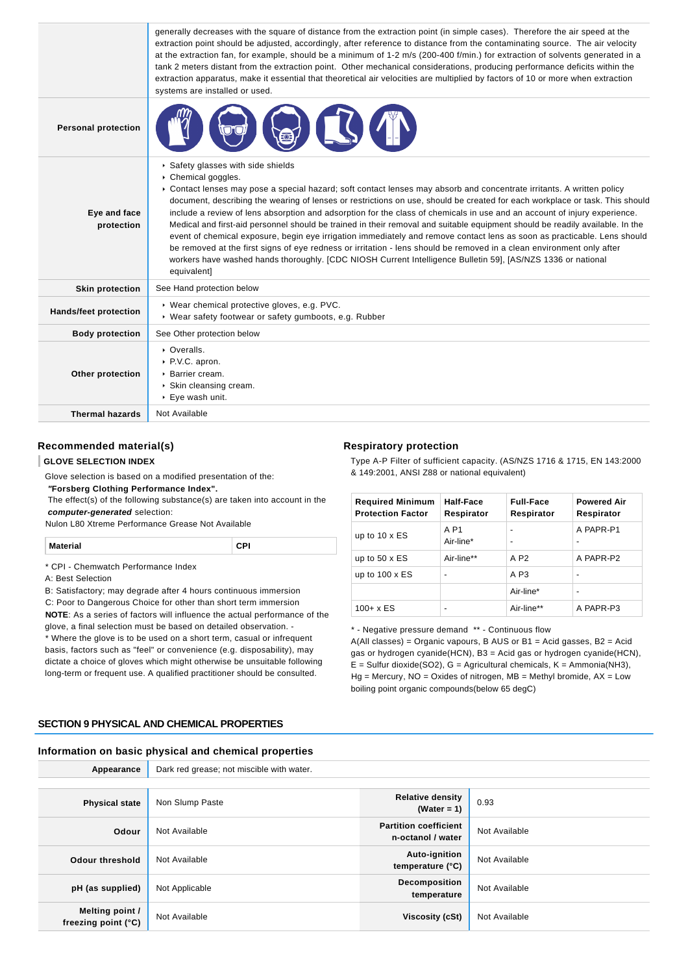generally decreases with the square of distance from the extraction point (in simple cases). Therefore the air speed at the extraction point should be adjusted, accordingly, after reference to distance from the contaminating source. The air velocity at the extraction fan, for example, should be a minimum of 1-2 m/s (200-400 f/min.) for extraction of solvents generated in a tank 2 meters distant from the extraction point. Other mechanical considerations, producing performance deficits within the extraction apparatus, make it essential that theoretical air velocities are multiplied by factors of 10 or more when extraction systems are installed or used.

# **Personal protection**

| <b>Personal protection</b> |                                                                                                                                                                                                                                                                                                                                                                                                                                                                                                                                                                                                                                                                                                                                                                                                                                                                                                                                                                   |
|----------------------------|-------------------------------------------------------------------------------------------------------------------------------------------------------------------------------------------------------------------------------------------------------------------------------------------------------------------------------------------------------------------------------------------------------------------------------------------------------------------------------------------------------------------------------------------------------------------------------------------------------------------------------------------------------------------------------------------------------------------------------------------------------------------------------------------------------------------------------------------------------------------------------------------------------------------------------------------------------------------|
| Eye and face<br>protection | Safety glasses with side shields<br>Chemical goggles.<br>► Contact lenses may pose a special hazard; soft contact lenses may absorb and concentrate irritants. A written policy<br>document, describing the wearing of lenses or restrictions on use, should be created for each workplace or task. This should<br>include a review of lens absorption and adsorption for the class of chemicals in use and an account of injury experience.<br>Medical and first-aid personnel should be trained in their removal and suitable equipment should be readily available. In the<br>event of chemical exposure, begin eye irrigation immediately and remove contact lens as soon as practicable. Lens should<br>be removed at the first signs of eye redness or irritation - lens should be removed in a clean environment only after<br>workers have washed hands thoroughly. [CDC NIOSH Current Intelligence Bulletin 59], [AS/NZS 1336 or national<br>equivalent] |
| <b>Skin protection</b>     | See Hand protection below                                                                                                                                                                                                                                                                                                                                                                                                                                                                                                                                                                                                                                                                                                                                                                                                                                                                                                                                         |
| Hands/feet protection      | ▶ Wear chemical protective gloves, e.g. PVC.<br>▶ Wear safety footwear or safety gumboots, e.g. Rubber                                                                                                                                                                                                                                                                                                                                                                                                                                                                                                                                                                                                                                                                                                                                                                                                                                                            |
| <b>Body protection</b>     | See Other protection below                                                                                                                                                                                                                                                                                                                                                                                                                                                                                                                                                                                                                                                                                                                                                                                                                                                                                                                                        |
| Other protection           | • Overalls.<br>▶ P.V.C. apron.<br>▶ Barrier cream.<br>Skin cleansing cream.<br>▶ Eye wash unit.                                                                                                                                                                                                                                                                                                                                                                                                                                                                                                                                                                                                                                                                                                                                                                                                                                                                   |
| <b>Thermal hazards</b>     | Not Available                                                                                                                                                                                                                                                                                                                                                                                                                                                                                                                                                                                                                                                                                                                                                                                                                                                                                                                                                     |

### **Recommended material(s)**

### **GLOVE SELECTION INDEX**

Glove selection is based on a modified presentation of the:

 **"Forsberg Clothing Performance Index".**

 The effect(s) of the following substance(s) are taken into account in the **computer-generated** selection:

Nulon L80 Xtreme Performance Grease Not Available

| Material | <b>CPI</b> |
|----------|------------|
|          |            |

\* CPI - Chemwatch Performance Index

A: Best Selection

B: Satisfactory; may degrade after 4 hours continuous immersion

C: Poor to Dangerous Choice for other than short term immersion

**NOTE**: As a series of factors will influence the actual performance of the glove, a final selection must be based on detailed observation. - \* Where the glove is to be used on a short term, casual or infrequent

basis, factors such as "feel" or convenience (e.g. disposability), may dictate a choice of gloves which might otherwise be unsuitable following long-term or frequent use. A qualified practitioner should be consulted.

# **SECTION 9 PHYSICAL AND CHEMICAL PROPERTIES**

### **Information on basic physical and chemical properties**

| Appearance                             | Dark red grease; not miscible with water. |                                                   |               |
|----------------------------------------|-------------------------------------------|---------------------------------------------------|---------------|
|                                        |                                           |                                                   |               |
| <b>Physical state</b>                  | Non Slump Paste                           | <b>Relative density</b><br>(Water = $1$ )         | 0.93          |
| Odour                                  | Not Available                             | <b>Partition coefficient</b><br>n-octanol / water | Not Available |
| Odour threshold                        | Not Available                             | Auto-ignition<br>temperature (°C)                 | Not Available |
| pH (as supplied)                       | Not Applicable                            | <b>Decomposition</b><br>temperature               | Not Available |
| Melting point /<br>freezing point (°C) | Not Available                             | <b>Viscosity (cSt)</b>                            | Not Available |

### **Respiratory protection**

Type A-P Filter of sufficient capacity. (AS/NZS 1716 & 1715, EN 143:2000 & 149:2001, ANSI Z88 or national equivalent)

| <b>Required Minimum</b><br><b>Protection Factor</b> | Half-Face<br>Respirator | <b>Full-Face</b><br>Respirator                       | <b>Powered Air</b><br>Respirator |
|-----------------------------------------------------|-------------------------|------------------------------------------------------|----------------------------------|
| up to $10 \times ES$                                | A P1<br>Air-line*       | $\overline{\phantom{0}}$<br>$\overline{\phantom{0}}$ | A PAPR-P1<br>-                   |
| up to $50 \times ES$                                | Air-line**              | A P2                                                 | A PAPR-P2                        |
| up to $100 \times ES$                               | -                       | A P3                                                 |                                  |
|                                                     |                         | Air-line*                                            |                                  |
| $100 + x ES$                                        | -                       | Air-line**                                           | A PAPR-P3                        |

\* - Negative pressure demand \*\* - Continuous flow

A(All classes) = Organic vapours, B AUS or B1 = Acid gasses, B2 = Acid gas or hydrogen cyanide(HCN), B3 = Acid gas or hydrogen cyanide(HCN),  $E =$  Sulfur dioxide(SO2), G = Agricultural chemicals, K = Ammonia(NH3),  $Hg =$  Mercury, NO = Oxides of nitrogen, MB = Methyl bromide,  $AX =$  Low boiling point organic compounds(below 65 degC)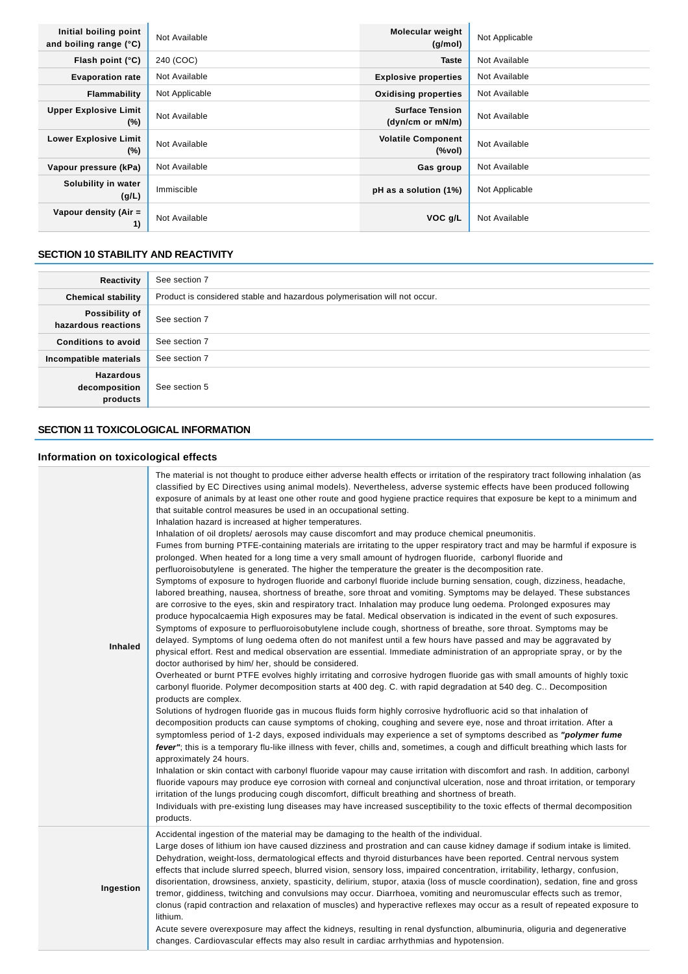| Initial boiling point<br>and boiling range (°C) | Not Available  | <b>Molecular weight</b><br>(g/mol)         | Not Applicable |
|-------------------------------------------------|----------------|--------------------------------------------|----------------|
| Flash point (°C)                                | 240 (COC)      | <b>Taste</b>                               | Not Available  |
| <b>Evaporation rate</b>                         | Not Available  | <b>Explosive properties</b>                | Not Available  |
| Flammability                                    | Not Applicable | <b>Oxidising properties</b>                | Not Available  |
| <b>Upper Explosive Limit</b><br>$(\%)$          | Not Available  | <b>Surface Tension</b><br>(dyn/cm or mN/m) | Not Available  |
| <b>Lower Explosive Limit</b><br>$(\%)$          | Not Available  | <b>Volatile Component</b><br>(%vol)        | Not Available  |
| Vapour pressure (kPa)                           | Not Available  | Gas group                                  | Not Available  |
| Solubility in water<br>(g/L)                    | Immiscible     | pH as a solution (1%)                      | Not Applicable |
| Vapour density (Air =<br>1)                     | Not Available  | VOC g/L                                    | Not Available  |

# **SECTION 10 STABILITY AND REACTIVITY**

| Reactivity                                    | See section 7                                                             |
|-----------------------------------------------|---------------------------------------------------------------------------|
| <b>Chemical stability</b>                     | Product is considered stable and hazardous polymerisation will not occur. |
| Possibility of<br>hazardous reactions         | See section 7                                                             |
| <b>Conditions to avoid</b>                    | See section 7                                                             |
| Incompatible materials                        | See section 7                                                             |
| <b>Hazardous</b><br>decomposition<br>products | See section 5                                                             |

# **SECTION 11 TOXICOLOGICAL INFORMATION**

# **Information on toxicological effects**

| <b>Inhaled</b> | The material is not thought to produce either adverse health effects or irritation of the respiratory tract following inhalation (as<br>classified by EC Directives using animal models). Nevertheless, adverse systemic effects have been produced following<br>exposure of animals by at least one other route and good hygiene practice requires that exposure be kept to a minimum and<br>that suitable control measures be used in an occupational setting.<br>Inhalation hazard is increased at higher temperatures.<br>Inhalation of oil droplets/ aerosols may cause discomfort and may produce chemical pneumonitis.<br>Fumes from burning PTFE-containing materials are irritating to the upper respiratory tract and may be harmful if exposure is<br>prolonged. When heated for a long time a very small amount of hydrogen fluoride, carbonyl fluoride and<br>perfluoroisobutylene is generated. The higher the temperature the greater is the decomposition rate.<br>Symptoms of exposure to hydrogen fluoride and carbonyl fluoride include burning sensation, cough, dizziness, headache,<br>labored breathing, nausea, shortness of breathe, sore throat and vomiting. Symptoms may be delayed. These substances<br>are corrosive to the eyes, skin and respiratory tract. Inhalation may produce lung oedema. Prolonged exposures may<br>produce hypocalcaemia High exposures may be fatal. Medical observation is indicated in the event of such exposures.<br>Symptoms of exposure to perfluoroisobutylene include cough, shortness of breathe, sore throat. Symptoms may be<br>delayed. Symptoms of lung oedema often do not manifest until a few hours have passed and may be aggravated by<br>physical effort. Rest and medical observation are essential. Immediate administration of an appropriate spray, or by the<br>doctor authorised by him/ her, should be considered.<br>Overheated or burnt PTFE evolves highly irritating and corrosive hydrogen fluoride gas with small amounts of highly toxic<br>carbonyl fluoride. Polymer decomposition starts at 400 deg. C. with rapid degradation at 540 deg. C Decomposition<br>products are complex.<br>Solutions of hydrogen fluoride gas in mucous fluids form highly corrosive hydrofluoric acid so that inhalation of<br>decomposition products can cause symptoms of choking, coughing and severe eye, nose and throat irritation. After a<br>symptomless period of 1-2 days, exposed individuals may experience a set of symptoms described as "polymer fume<br>fever"; this is a temporary flu-like illness with fever, chills and, sometimes, a cough and difficult breathing which lasts for<br>approximately 24 hours.<br>Inhalation or skin contact with carbonyl fluoride vapour may cause irritation with discomfort and rash. In addition, carbonyl<br>fluoride vapours may produce eye corrosion with corneal and conjunctival ulceration, nose and throat irritation, or temporary<br>irritation of the lungs producing cough discomfort, difficult breathing and shortness of breath.<br>Individuals with pre-existing lung diseases may have increased susceptibility to the toxic effects of thermal decomposition<br>products. |
|----------------|--------------------------------------------------------------------------------------------------------------------------------------------------------------------------------------------------------------------------------------------------------------------------------------------------------------------------------------------------------------------------------------------------------------------------------------------------------------------------------------------------------------------------------------------------------------------------------------------------------------------------------------------------------------------------------------------------------------------------------------------------------------------------------------------------------------------------------------------------------------------------------------------------------------------------------------------------------------------------------------------------------------------------------------------------------------------------------------------------------------------------------------------------------------------------------------------------------------------------------------------------------------------------------------------------------------------------------------------------------------------------------------------------------------------------------------------------------------------------------------------------------------------------------------------------------------------------------------------------------------------------------------------------------------------------------------------------------------------------------------------------------------------------------------------------------------------------------------------------------------------------------------------------------------------------------------------------------------------------------------------------------------------------------------------------------------------------------------------------------------------------------------------------------------------------------------------------------------------------------------------------------------------------------------------------------------------------------------------------------------------------------------------------------------------------------------------------------------------------------------------------------------------------------------------------------------------------------------------------------------------------------------------------------------------------------------------------------------------------------------------------------------------------------------------------------------------------------------------------------------------------------------------------------------------------------------------------------------------------------------------------------------------------------------------------------------------------------------------------------------------------------------------------------------------------------------------------------------------------------|
| Ingestion      | Accidental ingestion of the material may be damaging to the health of the individual.<br>Large doses of lithium ion have caused dizziness and prostration and can cause kidney damage if sodium intake is limited.<br>Dehydration, weight-loss, dermatological effects and thyroid disturbances have been reported. Central nervous system<br>effects that include slurred speech, blurred vision, sensory loss, impaired concentration, irritability, lethargy, confusion,<br>disorientation, drowsiness, anxiety, spasticity, delirium, stupor, ataxia (loss of muscle coordination), sedation, fine and gross<br>tremor, giddiness, twitching and convulsions may occur. Diarrhoea, vomiting and neuromuscular effects such as tremor,<br>clonus (rapid contraction and relaxation of muscles) and hyperactive reflexes may occur as a result of repeated exposure to<br>lithium.<br>Acute severe overexposure may affect the kidneys, resulting in renal dysfunction, albuminuria, oliguria and degenerative<br>changes. Cardiovascular effects may also result in cardiac arrhythmias and hypotension.                                                                                                                                                                                                                                                                                                                                                                                                                                                                                                                                                                                                                                                                                                                                                                                                                                                                                                                                                                                                                                                                                                                                                                                                                                                                                                                                                                                                                                                                                                                                                                                                                                                                                                                                                                                                                                                                                                                                                                                                                                                                                                                    |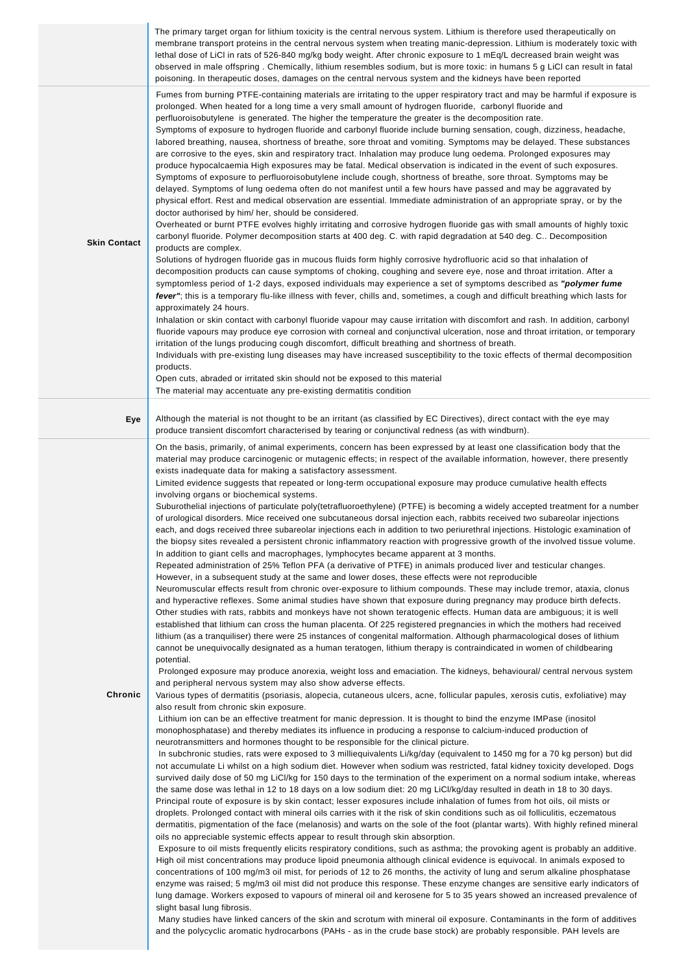|                     | The primary target organ for lithium toxicity is the central nervous system. Lithium is therefore used therapeutically on<br>membrane transport proteins in the central nervous system when treating manic-depression. Lithium is moderately toxic with<br>lethal dose of LiCl in rats of 526-840 mg/kg body weight. After chronic exposure to 1 mEq/L decreased brain weight was<br>observed in male offspring. Chemically, lithium resembles sodium, but is more toxic: in humans 5 g LiCl can result in fatal<br>poisoning. In therapeutic doses, damages on the central nervous system and the kidneys have been reported                                                                                                                                                                                                                                                                                                                                                                                                                                                                                                                                                                                                                                                                                                                                                                                                                                                                                                                                                                                                                                                                                                                                                                                                                                                                                                                                                                                                                                                                                                                                                                                                                                                                                                                                                                                                                                                                                                                                                                                                                                                                                                                                                                                                                                                                                                                                                                                                                                                                                                                                                                                                                                                                                                                                                                                                                                                                                                                                                                                                                                                                                                                                                                                                                                                                                                                                                                                                                                                                                                                                                                                                                                                                                                                                                                                                                                                                                                                                                                                                                                                                                                                          |
|---------------------|--------------------------------------------------------------------------------------------------------------------------------------------------------------------------------------------------------------------------------------------------------------------------------------------------------------------------------------------------------------------------------------------------------------------------------------------------------------------------------------------------------------------------------------------------------------------------------------------------------------------------------------------------------------------------------------------------------------------------------------------------------------------------------------------------------------------------------------------------------------------------------------------------------------------------------------------------------------------------------------------------------------------------------------------------------------------------------------------------------------------------------------------------------------------------------------------------------------------------------------------------------------------------------------------------------------------------------------------------------------------------------------------------------------------------------------------------------------------------------------------------------------------------------------------------------------------------------------------------------------------------------------------------------------------------------------------------------------------------------------------------------------------------------------------------------------------------------------------------------------------------------------------------------------------------------------------------------------------------------------------------------------------------------------------------------------------------------------------------------------------------------------------------------------------------------------------------------------------------------------------------------------------------------------------------------------------------------------------------------------------------------------------------------------------------------------------------------------------------------------------------------------------------------------------------------------------------------------------------------------------------------------------------------------------------------------------------------------------------------------------------------------------------------------------------------------------------------------------------------------------------------------------------------------------------------------------------------------------------------------------------------------------------------------------------------------------------------------------------------------------------------------------------------------------------------------------------------------------------------------------------------------------------------------------------------------------------------------------------------------------------------------------------------------------------------------------------------------------------------------------------------------------------------------------------------------------------------------------------------------------------------------------------------------------------------------------------------------------------------------------------------------------------------------------------------------------------------------------------------------------------------------------------------------------------------------------------------------------------------------------------------------------------------------------------------------------------------------------------------------------------------------------------------------------------------------------------------------------------------------------------------------------------------------------------------------------------------------------------------------------------------------------------------------------------------------------------------------------------------------------------------------------------------------------------------------------------------------------------------------------------------------------------------------------------------------------------------------------------------------------------------|
| <b>Skin Contact</b> | Fumes from burning PTFE-containing materials are irritating to the upper respiratory tract and may be harmful if exposure is<br>prolonged. When heated for a long time a very small amount of hydrogen fluoride, carbonyl fluoride and<br>perfluoroisobutylene is generated. The higher the temperature the greater is the decomposition rate.<br>Symptoms of exposure to hydrogen fluoride and carbonyl fluoride include burning sensation, cough, dizziness, headache,<br>labored breathing, nausea, shortness of breathe, sore throat and vomiting. Symptoms may be delayed. These substances<br>are corrosive to the eyes, skin and respiratory tract. Inhalation may produce lung oedema. Prolonged exposures may<br>produce hypocalcaemia High exposures may be fatal. Medical observation is indicated in the event of such exposures.<br>Symptoms of exposure to perfluoroisobutylene include cough, shortness of breathe, sore throat. Symptoms may be<br>delayed. Symptoms of lung oedema often do not manifest until a few hours have passed and may be aggravated by<br>physical effort. Rest and medical observation are essential. Immediate administration of an appropriate spray, or by the<br>doctor authorised by him/ her, should be considered.<br>Overheated or burnt PTFE evolves highly irritating and corrosive hydrogen fluoride gas with small amounts of highly toxic<br>carbonyl fluoride. Polymer decomposition starts at 400 deg. C. with rapid degradation at 540 deg. C Decomposition<br>products are complex.<br>Solutions of hydrogen fluoride gas in mucous fluids form highly corrosive hydrofluoric acid so that inhalation of<br>decomposition products can cause symptoms of choking, coughing and severe eye, nose and throat irritation. After a<br>symptomless period of 1-2 days, exposed individuals may experience a set of symptoms described as "polymer fume<br>fever"; this is a temporary flu-like illness with fever, chills and, sometimes, a cough and difficult breathing which lasts for<br>approximately 24 hours.<br>Inhalation or skin contact with carbonyl fluoride vapour may cause irritation with discomfort and rash. In addition, carbonyl<br>fluoride vapours may produce eye corrosion with corneal and conjunctival ulceration, nose and throat irritation, or temporary<br>irritation of the lungs producing cough discomfort, difficult breathing and shortness of breath.<br>Individuals with pre-existing lung diseases may have increased susceptibility to the toxic effects of thermal decomposition<br>products.<br>Open cuts, abraded or irritated skin should not be exposed to this material<br>The material may accentuate any pre-existing dermatitis condition                                                                                                                                                                                                                                                                                                                                                                                                                                                                                                                                                                                                                                                                                                                                                                                                                                                                                                                                                                                                                                                                                                                                                                                                                                                                                                                                                                                                                                                                                                                                                                                                                                                                                                                                                                                                                                                                                                                                                                                                      |
| Eye                 | Although the material is not thought to be an irritant (as classified by EC Directives), direct contact with the eye may<br>produce transient discomfort characterised by tearing or conjunctival redness (as with windburn).                                                                                                                                                                                                                                                                                                                                                                                                                                                                                                                                                                                                                                                                                                                                                                                                                                                                                                                                                                                                                                                                                                                                                                                                                                                                                                                                                                                                                                                                                                                                                                                                                                                                                                                                                                                                                                                                                                                                                                                                                                                                                                                                                                                                                                                                                                                                                                                                                                                                                                                                                                                                                                                                                                                                                                                                                                                                                                                                                                                                                                                                                                                                                                                                                                                                                                                                                                                                                                                                                                                                                                                                                                                                                                                                                                                                                                                                                                                                                                                                                                                                                                                                                                                                                                                                                                                                                                                                                                                                                                                          |
| Chronic             | On the basis, primarily, of animal experiments, concern has been expressed by at least one classification body that the<br>material may produce carcinogenic or mutagenic effects; in respect of the available information, however, there presently<br>exists inadequate data for making a satisfactory assessment.<br>Limited evidence suggests that repeated or long-term occupational exposure may produce cumulative health effects<br>involving organs or biochemical systems.<br>Suburothelial injections of particulate poly(tetrafluoroethylene) (PTFE) is becoming a widely accepted treatment for a number<br>of urological disorders. Mice received one subcutaneous dorsal injection each, rabbits received two subareolar injections<br>each, and dogs received three subareolar injections each in addition to two periurethral injections. Histologic examination of<br>the biopsy sites revealed a persistent chronic inflammatory reaction with progressive growth of the involved tissue volume.<br>In addition to giant cells and macrophages, lymphocytes became apparent at 3 months.<br>Repeated administration of 25% Teflon PFA (a derivative of PTFE) in animals produced liver and testicular changes.<br>However, in a subsequent study at the same and lower doses, these effects were not reproducible<br>Neuromuscular effects result from chronic over-exposure to lithium compounds. These may include tremor, ataxia, clonus<br>and hyperactive reflexes. Some animal studies have shown that exposure during pregnancy may produce birth defects.<br>Other studies with rats, rabbits and monkeys have not shown teratogenic effects. Human data are ambiguous; it is well<br>established that lithium can cross the human placenta. Of 225 registered pregnancies in which the mothers had received<br>lithium (as a tranquiliser) there were 25 instances of congenital malformation. Although pharmacological doses of lithium<br>cannot be unequivocally designated as a human teratogen, lithium therapy is contraindicated in women of childbearing<br>potential.<br>Prolonged exposure may produce anorexia, weight loss and emaciation. The kidneys, behavioural/ central nervous system<br>and peripheral nervous system may also show adverse effects.<br>Various types of dermatitis (psoriasis, alopecia, cutaneous ulcers, acne, follicular papules, xerosis cutis, exfoliative) may<br>also result from chronic skin exposure.<br>Lithium ion can be an effective treatment for manic depression. It is thought to bind the enzyme IMPase (inositol<br>monophosphatase) and thereby mediates its influence in producing a response to calcium-induced production of<br>neurotransmitters and hormones thought to be responsible for the clinical picture.<br>In subchronic studies, rats were exposed to 3 milliequivalents Li/kg/day (equivalent to 1450 mg for a 70 kg person) but did<br>not accumulate Li whilst on a high sodium diet. However when sodium was restricted, fatal kidney toxicity developed. Dogs<br>survived daily dose of 50 mg LiCl/kg for 150 days to the termination of the experiment on a normal sodium intake, whereas<br>the same dose was lethal in 12 to 18 days on a low sodium diet: 20 mg LiCl/kg/day resulted in death in 18 to 30 days.<br>Principal route of exposure is by skin contact; lesser exposures include inhalation of fumes from hot oils, oil mists or<br>droplets. Prolonged contact with mineral oils carries with it the risk of skin conditions such as oil folliculitis, eczematous<br>dermatitis, pigmentation of the face (melanosis) and warts on the sole of the foot (plantar warts). With highly refined mineral<br>oils no appreciable systemic effects appear to result through skin absorption.<br>Exposure to oil mists frequently elicits respiratory conditions, such as asthma; the provoking agent is probably an additive.<br>High oil mist concentrations may produce lipoid pneumonia although clinical evidence is equivocal. In animals exposed to<br>concentrations of 100 mg/m3 oil mist, for periods of 12 to 26 months, the activity of lung and serum alkaline phosphatase<br>enzyme was raised; 5 mg/m3 oil mist did not produce this response. These enzyme changes are sensitive early indicators of<br>lung damage. Workers exposed to vapours of mineral oil and kerosene for 5 to 35 years showed an increased prevalence of<br>slight basal lung fibrosis.<br>Many studies have linked cancers of the skin and scrotum with mineral oil exposure. Contaminants in the form of additives<br>and the polycyclic aromatic hydrocarbons (PAHs - as in the crude base stock) are probably responsible. PAH levels are |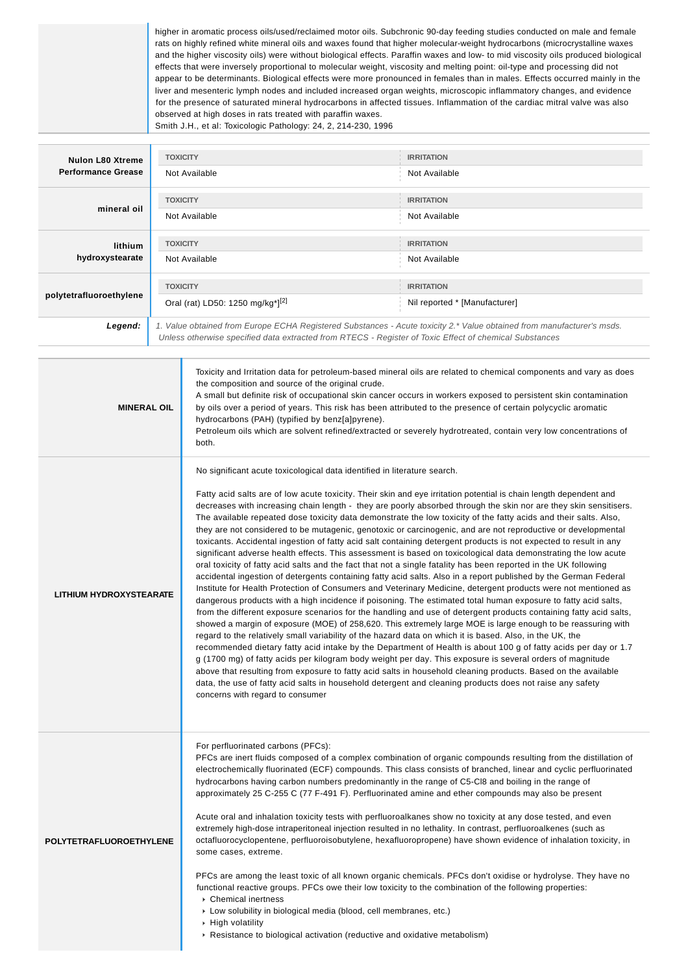higher in aromatic process oils/used/reclaimed motor oils. Subchronic 90-day feeding studies conducted on male and female rats on highly refined white mineral oils and waxes found that higher molecular-weight hydrocarbons (microcrystalline waxes and the higher viscosity oils) were without biological effects. Paraffin waxes and low- to mid viscosity oils produced biological effects that were inversely proportional to molecular weight, viscosity and melting point: oil-type and processing did not appear to be determinants. Biological effects were more pronounced in females than in males. Effects occurred mainly in the liver and mesenteric lymph nodes and included increased organ weights, microscopic inflammatory changes, and evidence for the presence of saturated mineral hydrocarbons in affected tissues. Inflammation of the cardiac mitral valve was also observed at high doses in rats treated with paraffin waxes.

Smith J.H., et al: Toxicologic Pathology: 24, 2, 214-230, 1996

| Nulon L80 Xtreme          | <b>TOXICITY</b>                                                                                                                                                                                                                  | <b>IRRITATION</b>             |  |
|---------------------------|----------------------------------------------------------------------------------------------------------------------------------------------------------------------------------------------------------------------------------|-------------------------------|--|
| <b>Performance Grease</b> | Not Available                                                                                                                                                                                                                    | Not Available                 |  |
| mineral oil               | <b>TOXICITY</b>                                                                                                                                                                                                                  | <b>IRRITATION</b>             |  |
|                           | Not Available                                                                                                                                                                                                                    | Not Available                 |  |
| lithium                   | <b>TOXICITY</b>                                                                                                                                                                                                                  | <b>IRRITATION</b>             |  |
| hydroxystearate           | Not Available                                                                                                                                                                                                                    | Not Available                 |  |
| polytetrafluoroethylene   | <b>TOXICITY</b>                                                                                                                                                                                                                  | <b>IRRITATION</b>             |  |
|                           | Oral (rat) LD50: 1250 mg/kg <sup>*</sup> [2]                                                                                                                                                                                     | Nil reported * [Manufacturer] |  |
| Legend:                   | 1. Value obtained from Europe ECHA Registered Substances - Acute toxicity 2.* Value obtained from manufacturer's msds.<br>Unless otherwise specified data extracted from RTECS - Register of Toxic Effect of chemical Substances |                               |  |
|                           |                                                                                                                                                                                                                                  |                               |  |

| <b>MINERAL OIL</b>             | Toxicity and Irritation data for petroleum-based mineral oils are related to chemical components and vary as does<br>the composition and source of the original crude.<br>A small but definite risk of occupational skin cancer occurs in workers exposed to persistent skin contamination<br>by oils over a period of years. This risk has been attributed to the presence of certain polycyclic aromatic<br>hydrocarbons (PAH) (typified by benz[a]pyrene).<br>Petroleum oils which are solvent refined/extracted or severely hydrotreated, contain very low concentrations of<br>both.                                                                                                                                                                                                                                                                                                                                                                                                                                                                                                                                                                                                                                                                                                                                                                                                                                                                                                                                                                                                                                                                                                                                                                                                                                                                                                                                                                                                                                                                                                                                  |
|--------------------------------|----------------------------------------------------------------------------------------------------------------------------------------------------------------------------------------------------------------------------------------------------------------------------------------------------------------------------------------------------------------------------------------------------------------------------------------------------------------------------------------------------------------------------------------------------------------------------------------------------------------------------------------------------------------------------------------------------------------------------------------------------------------------------------------------------------------------------------------------------------------------------------------------------------------------------------------------------------------------------------------------------------------------------------------------------------------------------------------------------------------------------------------------------------------------------------------------------------------------------------------------------------------------------------------------------------------------------------------------------------------------------------------------------------------------------------------------------------------------------------------------------------------------------------------------------------------------------------------------------------------------------------------------------------------------------------------------------------------------------------------------------------------------------------------------------------------------------------------------------------------------------------------------------------------------------------------------------------------------------------------------------------------------------------------------------------------------------------------------------------------------------|
| <b>LITHIUM HYDROXYSTEARATE</b> | No significant acute toxicological data identified in literature search.<br>Fatty acid salts are of low acute toxicity. Their skin and eye irritation potential is chain length dependent and<br>decreases with increasing chain length - they are poorly absorbed through the skin nor are they skin sensitisers.<br>The available repeated dose toxicity data demonstrate the low toxicity of the fatty acids and their salts. Also,<br>they are not considered to be mutagenic, genotoxic or carcinogenic, and are not reproductive or developmental<br>toxicants. Accidental ingestion of fatty acid salt containing detergent products is not expected to result in any<br>significant adverse health effects. This assessment is based on toxicological data demonstrating the low acute<br>oral toxicity of fatty acid salts and the fact that not a single fatality has been reported in the UK following<br>accidental ingestion of detergents containing fatty acid salts. Also in a report published by the German Federal<br>Institute for Health Protection of Consumers and Veterinary Medicine, detergent products were not mentioned as<br>dangerous products with a high incidence if poisoning. The estimated total human exposure to fatty acid salts,<br>from the different exposure scenarios for the handling and use of detergent products containing fatty acid salts,<br>showed a margin of exposure (MOE) of 258,620. This extremely large MOE is large enough to be reassuring with<br>regard to the relatively small variability of the hazard data on which it is based. Also, in the UK, the<br>recommended dietary fatty acid intake by the Department of Health is about 100 g of fatty acids per day or 1.7<br>g (1700 mg) of fatty acids per kilogram body weight per day. This exposure is several orders of magnitude<br>above that resulting from exposure to fatty acid salts in household cleaning products. Based on the available<br>data, the use of fatty acid salts in household detergent and cleaning products does not raise any safety<br>concerns with regard to consumer |
| <b>POLYTETRAFLUOROETHYLENE</b> | For perfluorinated carbons (PFCs):<br>PFCs are inert fluids composed of a complex combination of organic compounds resulting from the distillation of<br>electrochemically fluorinated (ECF) compounds. This class consists of branched, linear and cyclic perfluorinated<br>hydrocarbons having carbon numbers predominantly in the range of C5-CI8 and boiling in the range of<br>approximately 25 C-255 C (77 F-491 F). Perfluorinated amine and ether compounds may also be present<br>Acute oral and inhalation toxicity tests with perfluoroalkanes show no toxicity at any dose tested, and even<br>extremely high-dose intraperitoneal injection resulted in no lethality. In contrast, perfluoroalkenes (such as<br>octafluorocyclopentene, perfluoroisobutylene, hexafluoropropene) have shown evidence of inhalation toxicity, in<br>some cases, extreme.<br>PFCs are among the least toxic of all known organic chemicals. PFCs don't oxidise or hydrolyse. They have no<br>functional reactive groups. PFCs owe their low toxicity to the combination of the following properties:<br>Chemical inertness<br>Low solubility in biological media (blood, cell membranes, etc.)<br>▶ High volatility<br>▶ Resistance to biological activation (reductive and oxidative metabolism)                                                                                                                                                                                                                                                                                                                                                                                                                                                                                                                                                                                                                                                                                                                                                                                                                               |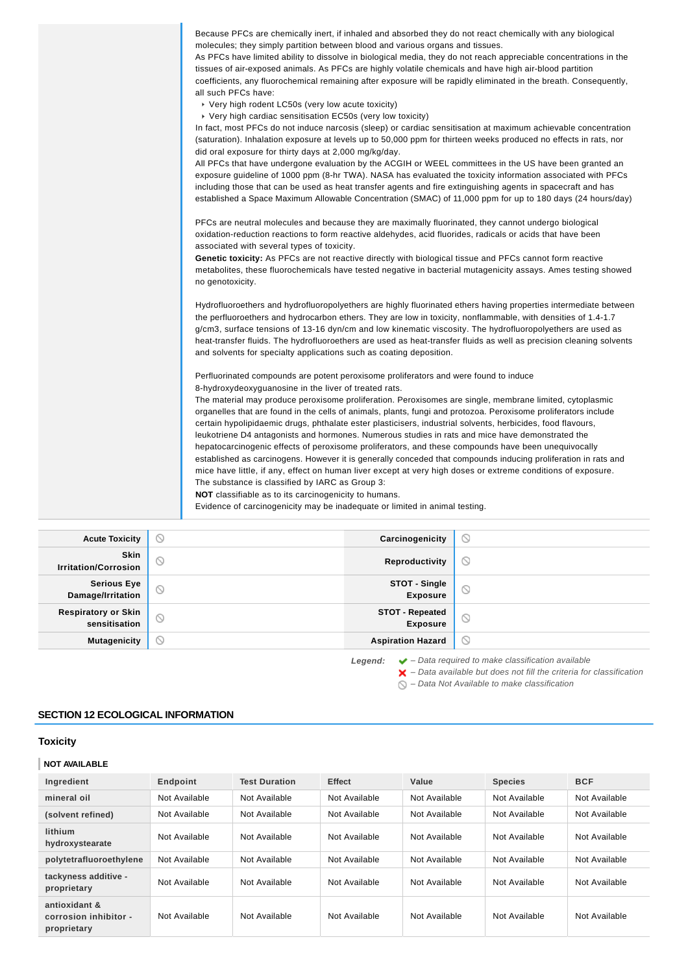| Because PFCs are chemically inert, if inhaled and absorbed they do not react chemically with any biological                                                                                                                  |
|------------------------------------------------------------------------------------------------------------------------------------------------------------------------------------------------------------------------------|
| molecules; they simply partition between blood and various organs and tissues.                                                                                                                                               |
| As PFCs have limited ability to dissolve in biological media, they do not reach appreciable concentrations in the<br>tissues of air-exposed animals. As PFCs are highly volatile chemicals and have high air-blood partition |
|                                                                                                                                                                                                                              |
| coefficients, any fluorochemical remaining after exposure will be rapidly eliminated in the breath. Consequently,<br>all such PFCs have:                                                                                     |
| ▶ Very high rodent LC50s (very low acute toxicity)                                                                                                                                                                           |
| ▶ Very high cardiac sensitisation EC50s (very low toxicity)                                                                                                                                                                  |
| In fact, most PFCs do not induce narcosis (sleep) or cardiac sensitisation at maximum achievable concentration                                                                                                               |
| (saturation). Inhalation exposure at levels up to 50,000 ppm for thirteen weeks produced no effects in rats, nor                                                                                                             |
| did oral exposure for thirty days at 2,000 mg/kg/day.                                                                                                                                                                        |
| All PFCs that have undergone evaluation by the ACGIH or WEEL committees in the US have been granted an                                                                                                                       |
| exposure guideline of 1000 ppm (8-hr TWA). NASA has evaluated the toxicity information associated with PFCs                                                                                                                  |
| including those that can be used as heat transfer agents and fire extinguishing agents in spacecraft and has                                                                                                                 |
| established a Space Maximum Allowable Concentration (SMAC) of 11,000 ppm for up to 180 days (24 hours/day)                                                                                                                   |
|                                                                                                                                                                                                                              |
| PFCs are neutral molecules and because they are maximally fluorinated, they cannot undergo biological                                                                                                                        |
| oxidation-reduction reactions to form reactive aldehydes, acid fluorides, radicals or acids that have been                                                                                                                   |
| associated with several types of toxicity.                                                                                                                                                                                   |
| Genetic toxicity: As PFCs are not reactive directly with biological tissue and PFCs cannot form reactive                                                                                                                     |
| metabolites, these fluorochemicals have tested negative in bacterial mutagenicity assays. Ames testing showed                                                                                                                |
| no genotoxicity.                                                                                                                                                                                                             |
|                                                                                                                                                                                                                              |
| Hydrofluoroethers and hydrofluoropolyethers are highly fluorinated ethers having properties intermediate between                                                                                                             |
| the perfluoroethers and hydrocarbon ethers. They are low in toxicity, nonflammable, with densities of 1.4-1.7                                                                                                                |
| g/cm3, surface tensions of 13-16 dyn/cm and low kinematic viscosity. The hydrofluoropolyethers are used as                                                                                                                   |
| heat-transfer fluids. The hydrofluoroethers are used as heat-transfer fluids as well as precision cleaning solvents                                                                                                          |
| and solvents for specialty applications such as coating deposition.                                                                                                                                                          |
|                                                                                                                                                                                                                              |
| Perfluorinated compounds are potent peroxisome proliferators and were found to induce                                                                                                                                        |
| 8-hydroxydeoxyguanosine in the liver of treated rats.                                                                                                                                                                        |
| The material may produce peroxisome proliferation. Peroxisomes are single, membrane limited, cytoplasmic                                                                                                                     |
| organelles that are found in the cells of animals, plants, fungi and protozoa. Peroxisome proliferators include                                                                                                              |
| certain hypolipidaemic drugs, phthalate ester plasticisers, industrial solvents, herbicides, food flavours,                                                                                                                  |
| leukotriene D4 antagonists and hormones. Numerous studies in rats and mice have demonstrated the                                                                                                                             |
| hepatocarcinogenic effects of peroxisome proliferators, and these compounds have been unequivocally                                                                                                                          |
| established as carcinogens. However it is generally conceded that compounds inducing proliferation in rats and                                                                                                               |
| mice have little, if any, effect on human liver except at very high doses or extreme conditions of exposure.                                                                                                                 |
| The substance is classified by IARC as Group 3:                                                                                                                                                                              |
| <b>NOT</b> classifiable as to its carcinogenicity to humans.                                                                                                                                                                 |
| Evidence of carcinogenicity may be inadequate or limited in animal testing.                                                                                                                                                  |
|                                                                                                                                                                                                                              |
|                                                                                                                                                                                                                              |

| <b>Acute Toxicity</b>                       | $\circ$ | Carcinogenicity                    | $\odot$                                                                |
|---------------------------------------------|---------|------------------------------------|------------------------------------------------------------------------|
| <b>Skin</b><br><b>Irritation/Corrosion</b>  | $\circ$ | Reproductivity                     | $\circledcirc$                                                         |
| <b>Serious Eye</b><br>Damage/Irritation     | $\circ$ | STOT - Single<br><b>Exposure</b>   | $\circledcirc$                                                         |
| <b>Respiratory or Skin</b><br>sensitisation | $\odot$ | STOT - Repeated<br><b>Exposure</b> | $\circledcirc$                                                         |
| <b>Mutagenicity</b>                         | $\circ$ | <b>Aspiration Hazard</b>           | $\circ$                                                                |
|                                             |         | Legend:                            | $\blacktriangleright$ - Data required to make classification available |

– Data available but does not fill the criteria for classification

– Data Not Available to make classification

# **SECTION 12 ECOLOGICAL INFORMATION**

# **Toxicity**

# **NOT AVAILABLE**

| Ingredient                                            | Endpoint      | <b>Test Duration</b> | <b>Effect</b> | Value         | <b>Species</b> | <b>BCF</b>    |
|-------------------------------------------------------|---------------|----------------------|---------------|---------------|----------------|---------------|
| mineral oil                                           | Not Available | Not Available        | Not Available | Not Available | Not Available  | Not Available |
| (solvent refined)                                     | Not Available | Not Available        | Not Available | Not Available | Not Available  | Not Available |
| lithium<br>hydroxystearate                            | Not Available | Not Available        | Not Available | Not Available | Not Available  | Not Available |
| polytetrafluoroethylene                               | Not Available | Not Available        | Not Available | Not Available | Not Available  | Not Available |
| tackyness additive -<br>proprietary                   | Not Available | Not Available        | Not Available | Not Available | Not Available  | Not Available |
| antioxidant &<br>corrosion inhibitor -<br>proprietary | Not Available | Not Available        | Not Available | Not Available | Not Available  | Not Available |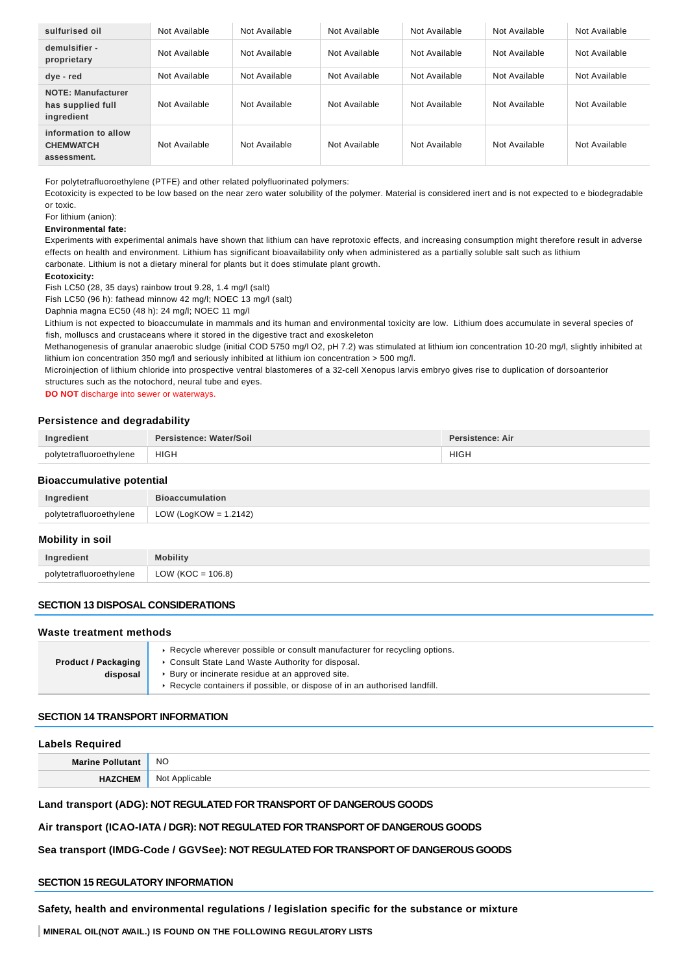| sulfurised oil                                               | Not Available | Not Available | Not Available | Not Available | Not Available | Not Available |
|--------------------------------------------------------------|---------------|---------------|---------------|---------------|---------------|---------------|
| demulsifier -<br>proprietary                                 | Not Available | Not Available | Not Available | Not Available | Not Available | Not Available |
| dye - red                                                    | Not Available | Not Available | Not Available | Not Available | Not Available | Not Available |
| <b>NOTE: Manufacturer</b><br>has supplied full<br>ingredient | Not Available | Not Available | Not Available | Not Available | Not Available | Not Available |
| information to allow<br><b>CHEMWATCH</b><br>assessment.      | Not Available | Not Available | Not Available | Not Available | Not Available | Not Available |

For polytetrafluoroethylene (PTFE) and other related polyfluorinated polymers:

Ecotoxicity is expected to be low based on the near zero water solubility of the polymer. Material is considered inert and is not expected to e biodegradable or toxic.

For lithium (anion):

### **Environmental fate:**

Experiments with experimental animals have shown that lithium can have reprotoxic effects, and increasing consumption might therefore result in adverse effects on health and environment. Lithium has significant bioavailability only when administered as a partially soluble salt such as lithium carbonate. Lithium is not a dietary mineral for plants but it does stimulate plant growth.

#### **Ecotoxicity:**

Fish LC50 (28, 35 days) rainbow trout 9.28, 1.4 mg/l (salt)

Fish LC50 (96 h): fathead minnow 42 mg/l; NOEC 13 mg/l (salt)

Daphnia magna EC50 (48 h): 24 mg/l; NOEC 11 mg/l

Lithium is not expected to bioaccumulate in mammals and its human and environmental toxicity are low. Lithium does accumulate in several species of fish, molluscs and crustaceans where it stored in the digestive tract and exoskeleton

Methanogenesis of granular anaerobic sludge (initial COD 5750 mg/l O2, pH 7.2) was stimulated at lithium ion concentration 10-20 mg/l, slightly inhibited at lithium ion concentration 350 mg/l and seriously inhibited at lithium ion concentration > 500 mg/l.

Microinjection of lithium chloride into prospective ventral blastomeres of a 32-cell Xenopus larvis embryo gives rise to duplication of dorsoanterior structures such as the notochord, neural tube and eyes.

**DO NOT** discharge into sewer or waterways.

### **Persistence and degradability**

| Ingredient              | Persistence: Water/Soil | sistence: Air |
|-------------------------|-------------------------|---------------|
| polytetrafluoroethylene | <b>HIGH</b>             | <b>HIGH</b>   |

### **Bioaccumulative potential**

| Ingredient              | <b>Bioaccumulation</b>        |
|-------------------------|-------------------------------|
| polytetrafluoroethylene | $\vert$ LOW (LogKOW = 1.2142) |

### **Mobility in soil**

| Ingredient              | <b>Mobility</b>           |
|-------------------------|---------------------------|
| polytetrafluoroethylene | $\vert$ LOW (KOC = 106.8) |

# **SECTION 13 DISPOSAL CONSIDERATIONS**

#### **Waste treatment methods**

|                            | ► Recycle wherever possible or consult manufacturer for recycling options. |  |  |
|----------------------------|----------------------------------------------------------------------------|--|--|
| <b>Product / Packaging</b> | • Consult State Land Waste Authority for disposal.                         |  |  |
| disposal                   | ► Bury or incinerate residue at an approved site.                          |  |  |
|                            | ► Recycle containers if possible, or dispose of in an authorised landfill. |  |  |
|                            |                                                                            |  |  |

### **SECTION 14 TRANSPORT INFORMATION**

#### **Labels Required**

| Morin. | <b>NO</b>                            |
|--------|--------------------------------------|
|        | /\pplicable<br>N <sub>IO</sub><br>٦v |

### **Land transport (ADG): NOT REGULATED FOR TRANSPORT OF DANGEROUS GOODS**

### **Air transport (ICAO-IATA / DGR): NOT REGULATED FOR TRANSPORT OF DANGEROUS GOODS**

### **Sea transport (IMDG-Code / GGVSee): NOT REGULATED FOR TRANSPORT OF DANGEROUS GOODS**

### **SECTION 15 REGULATORY INFORMATION**

### **Safety, health and environmental regulations / legislation specific for the substance or mixture**

**MINERAL OIL(NOT AVAIL.) IS FOUND ON THE FOLLOWING REGULATORY LISTS**